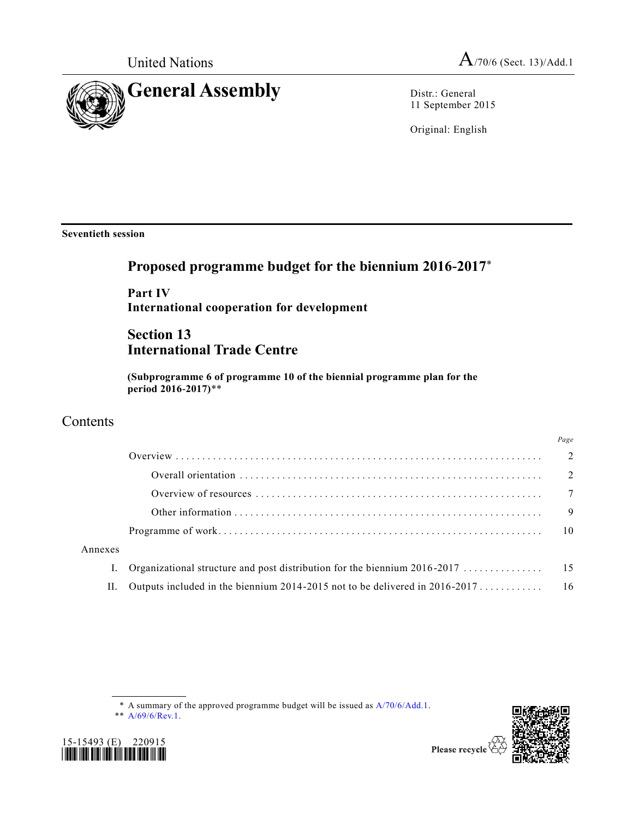

11 September 2015

Original: English

**Seventieth session**

# **Proposed programme budget for the biennium 2016-2017**\*

**Part IV International cooperation for development**

## **Section 13 International Trade Centre**

**(Subprogramme 6 of programme 10 of the biennial programme plan for the period 2016-2017)**\*\*

### **Contents**

|         | 1 uge          |
|---------|----------------|
|         |                |
|         |                |
|         |                |
|         | $\overline{9}$ |
|         |                |
| Annexes |                |
|         |                |
| П.      |                |
|         |                |

<sup>\*</sup> A summary of the approved programme budget will be issued as [A/70/6/Add.1.](http://undocs.org/A/70/6/Add.1)







*Page*

Please recycle  $\overline{\mathcal{C}}$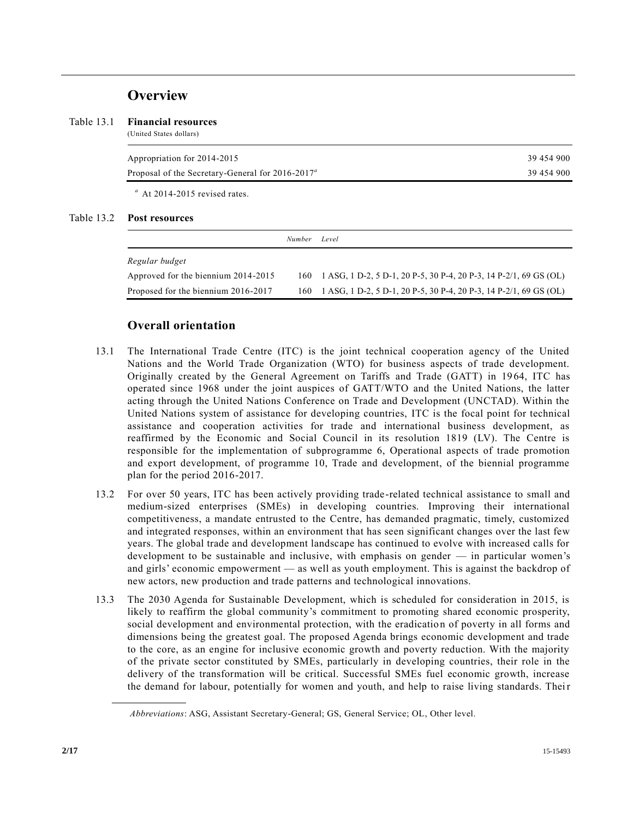### **Overview**

#### Table 13.1 **Financial resources**

(United States dollars)

| Appropriation for 2014-2015                           | 39 454 900 |
|-------------------------------------------------------|------------|
| Proposal of the Secretary-General for $2016 - 2017^a$ | 39 454 900 |
|                                                       |            |

*<sup>a</sup>* At 2014-2015 revised rates.

### Table 13.2 **Post resources**

|                                     | <i>Number</i> | Level                                                                 |
|-------------------------------------|---------------|-----------------------------------------------------------------------|
| Regular budget                      |               |                                                                       |
| Approved for the biennium 2014-2015 |               | 160 1 ASG, 1 D-2, 5 D-1, 20 P-5, 30 P-4, 20 P-3, 14 P-2/1, 69 GS (OL) |
| Proposed for the biennium 2016-2017 |               | 160 1 ASG, 1 D-2, 5 D-1, 20 P-5, 30 P-4, 20 P-3, 14 P-2/1, 69 GS (OL) |

### **Overall orientation**

- 13.1 The International Trade Centre (ITC) is the joint technical cooperation agency of the United Nations and the World Trade Organization (WTO) for business aspects of trade development. Originally created by the General Agreement on Tariffs and Trade (GATT) in 19 64, ITC has operated since 1968 under the joint auspices of GATT/WTO and the United Nations, the latter acting through the United Nations Conference on Trade and Development (UNCTAD). Within the United Nations system of assistance for developing countries, ITC is the focal point for technical assistance and cooperation activities for trade and international business development, as reaffirmed by the Economic and Social Council in its resolution 1819 (LV). The Centre is responsible for the implementation of subprogramme 6, Operational aspects of trade promotion and export development, of programme 10, Trade and development, of the biennial programme plan for the period 2016-2017.
- 13.2 For over 50 years, ITC has been actively providing trade-related technical assistance to small and medium-sized enterprises (SMEs) in developing countries. Improving their international competitiveness, a mandate entrusted to the Centre, has demanded pragmatic, timely, customized and integrated responses, within an environment that has seen significant changes over the last few years. The global trade and development landscape has continued to evolve with increased calls for development to be sustainable and inclusive, with emphasis on gender — in particular women's and girls' economic empowerment — as well as youth employment. This is against the backdrop of new actors, new production and trade patterns and technological innovations.
- 13.3 The 2030 Agenda for Sustainable Development, which is scheduled for consideration in 2015, is likely to reaffirm the global community's commitment to promoting shared economic prosperity, social development and environmental protection, with the eradication of poverty in all forms and dimensions being the greatest goal. The proposed Agenda brings economic development and trade to the core, as an engine for inclusive economic growth and poverty reduction. With the majority of the private sector constituted by SMEs, particularly in developing countries, their role in the delivery of the transformation will be critical. Successful SMEs fuel economic growth, increase the demand for labour, potentially for women and youth, and help to raise living standards. Their

*Abbreviations*: ASG, Assistant Secretary-General; GS, General Service; OL, Other level.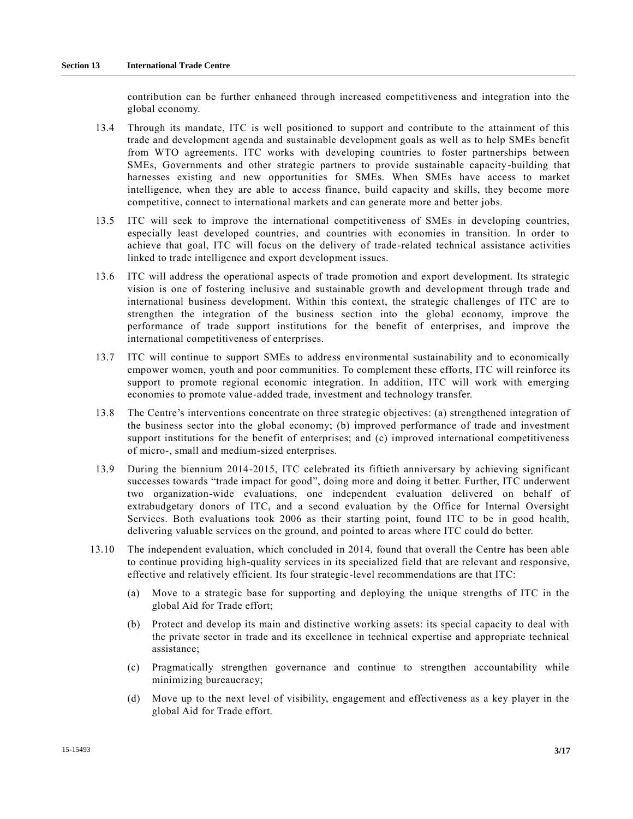contribution can be further enhanced through increased competitiveness and integration into the global economy.

- 13.4 Through its mandate, ITC is well positioned to support and contribute to the attainment of this trade and development agenda and sustainable development goals as well as to help SMEs benefit from WTO agreements. ITC works with developing countries to foster partnerships between SMEs, Governments and other strategic partners to provide sustainable capacity-building that harnesses existing and new opportunities for SMEs. When SMEs have access to market intelligence, when they are able to access finance, build capacity and skills, they become more competitive, connect to international markets and can generate more and better jobs.
- 13.5 ITC will seek to improve the international competitiveness of SMEs in developing countries, especially least developed countries, and countries with economies in transition. In order to achieve that goal, ITC will focus on the delivery of trade-related technical assistance activities linked to trade intelligence and export development issues.
- 13.6 ITC will address the operational aspects of trade promotion and export development. Its strategic vision is one of fostering inclusive and sustainable growth and development through trade and international business development. Within this context, the strategic challenges of ITC are to strengthen the integration of the business section into the global economy, improve the performance of trade support institutions for the benefit of enterprises, and improve the international competitiveness of enterprises.
- 13.7 ITC will continue to support SMEs to address environmental sustainability and to economically empower women, youth and poor communities. To complement these efforts, ITC will reinforce its support to promote regional economic integration. In addition, ITC will work with emerging economies to promote value-added trade, investment and technology transfer.
- 13.8 The Centre's interventions concentrate on three strategic objectives: (a) strengthened integration of the business sector into the global economy; (b) improved performance of trade and investment support institutions for the benefit of enterprises; and (c) improved international competitiveness of micro-, small and medium-sized enterprises.
- 13.9 During the biennium 2014-2015, ITC celebrated its fiftieth anniversary by achieving significant successes towards "trade impact for good", doing more and doing it better. Further, ITC underwent two organization-wide evaluations, one independent evaluation delivered on behalf of extrabudgetary donors of ITC, and a second evaluation by the Office for Internal Oversight Services. Both evaluations took 2006 as their starting point, found ITC to be in good health, delivering valuable services on the ground, and pointed to areas where ITC could do better.
- 13.10 The independent evaluation, which concluded in 2014, found that overall the Centre has been able to continue providing high-quality services in its specialized field that are relevant and responsive, effective and relatively efficient. Its four strategic-level recommendations are that ITC:
	- (a) Move to a strategic base for supporting and deploying the unique strengths of ITC in the global Aid for Trade effort;
	- (b) Protect and develop its main and distinctive working assets: its special capacity to deal with the private sector in trade and its excellence in technical expertise and appropriate technical assistance;
	- (c) Pragmatically strengthen governance and continue to strengthen accountability while minimizing bureaucracy;
	- (d) Move up to the next level of visibility, engagement and effectiveness as a key player in the global Aid for Trade effort.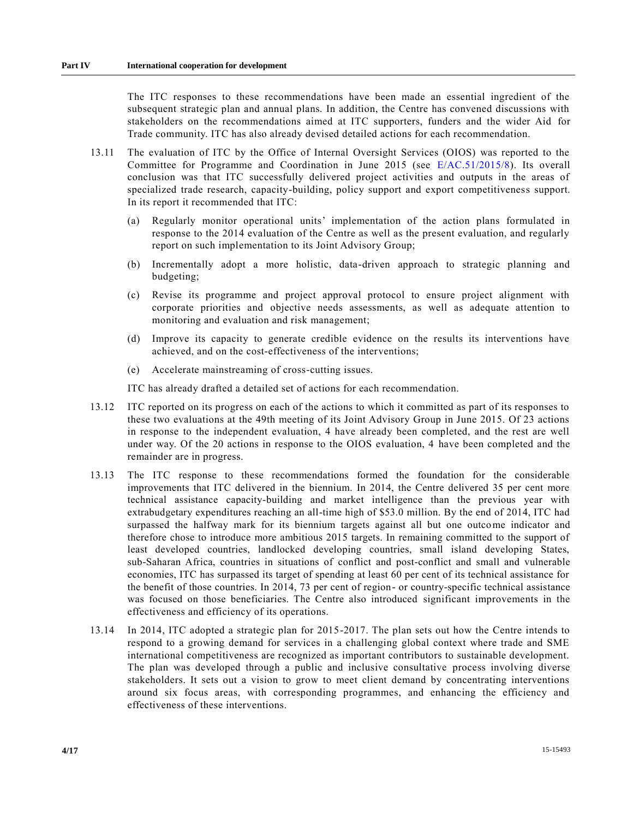The ITC responses to these recommendations have been made an essential ingredient of the subsequent strategic plan and annual plans. In addition, the Centre has convened discussions with stakeholders on the recommendations aimed at ITC supporters, funders and the wider Aid for Trade community. ITC has also already devised detailed actions for each recommendation.

- 13.11 The evaluation of ITC by the Office of Internal Oversight Services (OIOS) was reported to the Committee for Programme and Coordination in June 2015 (see [E/AC.51/2015/8\)](http://undocs.org/E/AC.51/2015/8). Its overall conclusion was that ITC successfully delivered project activities and outputs in the areas of specialized trade research, capacity-building, policy support and export competitiveness support. In its report it recommended that ITC:
	- (a) Regularly monitor operational units' implementation of the action plans formulated in response to the 2014 evaluation of the Centre as well as the present evaluation, and regularly report on such implementation to its Joint Advisory Group;
	- (b) Incrementally adopt a more holistic, data-driven approach to strategic planning and budgeting;
	- (c) Revise its programme and project approval protocol to ensure project alignment with corporate priorities and objective needs assessments, as well as adequate attention to monitoring and evaluation and risk management;
	- (d) Improve its capacity to generate credible evidence on the results its interventions have achieved, and on the cost-effectiveness of the interventions;
	- (e) Accelerate mainstreaming of cross-cutting issues.

ITC has already drafted a detailed set of actions for each recommendation.

- 13.12 ITC reported on its progress on each of the actions to which it committed as part of its responses to these two evaluations at the 49th meeting of its Joint Advisory Group in June 2015. Of 23 actions in response to the independent evaluation, 4 have already been completed, and the rest are well under way. Of the 20 actions in response to the OIOS evaluation, 4 have been completed and the remainder are in progress.
- 13.13 The ITC response to these recommendations formed the foundation for the considerable improvements that ITC delivered in the biennium. In 2014, the Centre delivered 35 per cent more technical assistance capacity-building and market intelligence than the previous year with extrabudgetary expenditures reaching an all-time high of \$53.0 million. By the end of 2014, ITC had surpassed the halfway mark for its biennium targets against all but one outcome indicator and therefore chose to introduce more ambitious 2015 targets. In remaining committed to the support of least developed countries, landlocked developing countries, small island developing States, sub-Saharan Africa, countries in situations of conflict and post-conflict and small and vulnerable economies, ITC has surpassed its target of spending at least 60 per cent of its technical assistance for the benefit of those countries. In 2014, 73 per cent of region- or country-specific technical assistance was focused on those beneficiaries. The Centre also introduced significant improvements in the effectiveness and efficiency of its operations.
- 13.14 In 2014, ITC adopted a strategic plan for 2015-2017. The plan sets out how the Centre intends to respond to a growing demand for services in a challenging global context where trade and SME international competitiveness are recognized as important contributors to sustainable development. The plan was developed through a public and inclusive consultative process involving diverse stakeholders. It sets out a vision to grow to meet client demand by concentrating interventions around six focus areas, with corresponding programmes, and enhancing the efficiency and effectiveness of these interventions.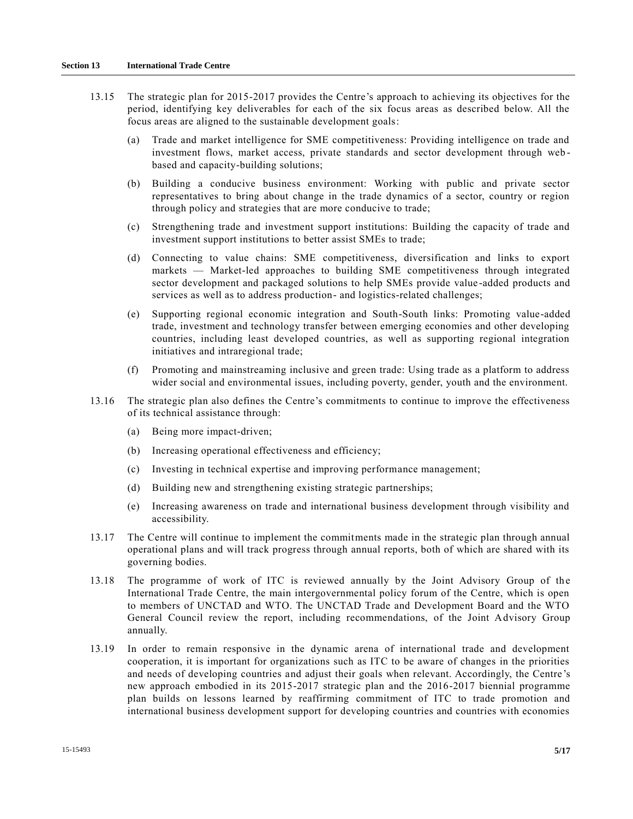- 13.15 The strategic plan for 2015-2017 provides the Centre's approach to achieving its objectives for the period, identifying key deliverables for each of the six focus areas as described below. All the focus areas are aligned to the sustainable development goals:
	- (a) Trade and market intelligence for SME competitiveness: Providing intelligence on trade and investment flows, market access, private standards and sector development through web based and capacity-building solutions;
	- (b) Building a conducive business environment: Working with public and private sector representatives to bring about change in the trade dynamics of a sector, country or region through policy and strategies that are more conducive to trade;
	- (c) Strengthening trade and investment support institutions: Building the capacity of trade and investment support institutions to better assist SMEs to trade;
	- (d) Connecting to value chains: SME competitiveness, diversification and links to export markets — Market-led approaches to building SME competitiveness through integrated sector development and packaged solutions to help SMEs provide value -added products and services as well as to address production- and logistics-related challenges;
	- (e) Supporting regional economic integration and South-South links: Promoting value-added trade, investment and technology transfer between emerging economies and other developing countries, including least developed countries, as well as supporting regional integration initiatives and intraregional trade;
	- (f) Promoting and mainstreaming inclusive and green trade: Using trade as a platform to address wider social and environmental issues, including poverty, gender, youth and the environment.
- 13.16 The strategic plan also defines the Centre's commitments to continue to improve the effectiveness of its technical assistance through:
	- (a) Being more impact-driven;
	- (b) Increasing operational effectiveness and efficiency;
	- (c) Investing in technical expertise and improving performance management;
	- (d) Building new and strengthening existing strategic partnerships;
	- (e) Increasing awareness on trade and international business development through visibility and accessibility.
- 13.17 The Centre will continue to implement the commitments made in the strategic plan through annual operational plans and will track progress through annual reports, both of which are shared with its governing bodies.
- 13.18 The programme of work of ITC is reviewed annually by the Joint Advisory Group of the International Trade Centre, the main intergovernmental policy forum of the Centre, which is open to members of UNCTAD and WTO. The UNCTAD Trade and Development Board and the WTO General Council review the report, including recommendations, of the Joint Advisory Group annually.
- 13.19 In order to remain responsive in the dynamic arena of international trade and development cooperation, it is important for organizations such as ITC to be aware of changes in the priorities and needs of developing countries and adjust their goals when relevant. Accordingly, the Centre's new approach embodied in its 2015-2017 strategic plan and the 2016-2017 biennial programme plan builds on lessons learned by reaffirming commitment of ITC to trade promotion and international business development support for developing countries and countries with economies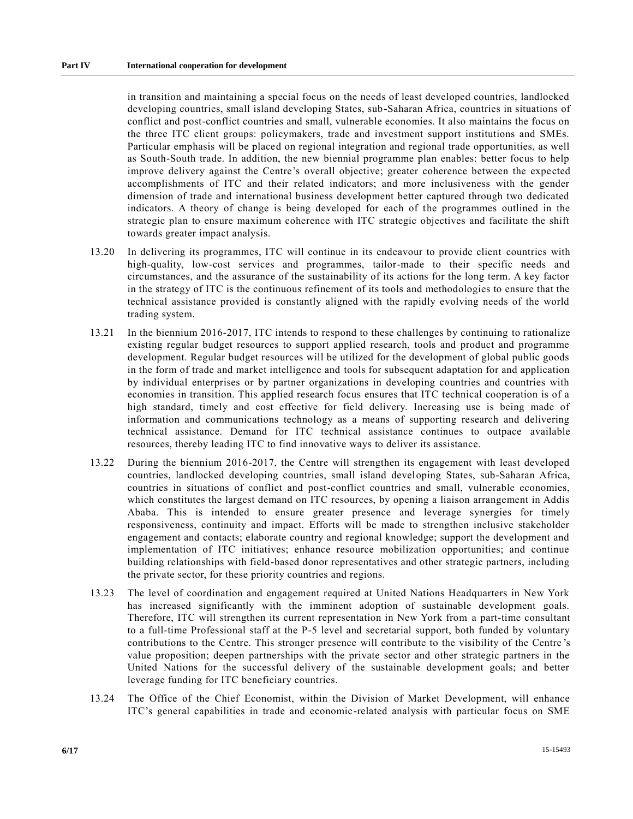in transition and maintaining a special focus on the needs of least developed countries, landlocked developing countries, small island developing States, sub-Saharan Africa, countries in situations of conflict and post-conflict countries and small, vulnerable economies. It also maintains the focus on the three ITC client groups: policymakers, trade and investment support institutions and SMEs. Particular emphasis will be placed on regional integration and regional trade opportunities, as well as South-South trade. In addition, the new biennial programme plan enables: better focus to help improve delivery against the Centre's overall objective; greater coherence between the expected accomplishments of ITC and their related indicators; and more inclusiveness with the gender dimension of trade and international business development better captured through two dedicated indicators. A theory of change is being developed for each of the programmes outlined in the strategic plan to ensure maximum coherence with ITC strategic objectives and facilitate the shift towards greater impact analysis.

- 13.20 In delivering its programmes, ITC will continue in its endeavour to provide client countries with high-quality, low-cost services and programmes, tailor-made to their specific needs and circumstances, and the assurance of the sustainability of its actions for the long term. A key factor in the strategy of ITC is the continuous refinement of its tools and methodologies to ensure that the technical assistance provided is constantly aligned with the rapidly evolving needs of the world trading system.
- 13.21 In the biennium 2016-2017, ITC intends to respond to these challenges by continuing to rationalize existing regular budget resources to support applied research, tools and product and programme development. Regular budget resources will be utilized for the development of global public goods in the form of trade and market intelligence and tools for subsequent adaptation for and application by individual enterprises or by partner organizations in developing countries and countries with economies in transition. This applied research focus ensures that ITC technical cooperation is of a high standard, timely and cost effective for field delivery. Increasing use is being made of information and communications technology as a means of supporting research and delivering technical assistance. Demand for ITC technical assistance continues to outpace available resources, thereby leading ITC to find innovative ways to deliver its assistance.
- 13.22 During the biennium 2016-2017, the Centre will strengthen its engagement with least developed countries, landlocked developing countries, small island developing States, sub-Saharan Africa, countries in situations of conflict and post-conflict countries and small, vulnerable economies, which constitutes the largest demand on ITC resources, by opening a liaison arrangement in Addis Ababa. This is intended to ensure greater presence and leverage synergies for timely responsiveness, continuity and impact. Efforts will be made to strengthen inclusive stakeholder engagement and contacts; elaborate country and regional knowledge; support the development and implementation of ITC initiatives; enhance resource mobilization opportunities; and continue building relationships with field-based donor representatives and other strategic partners, including the private sector, for these priority countries and regions.
- 13.23 The level of coordination and engagement required at United Nations Headquarters in New York has increased significantly with the imminent adoption of sustainable development goals. Therefore, ITC will strengthen its current representation in New York from a part-time consultant to a full-time Professional staff at the P-5 level and secretarial support, both funded by voluntary contributions to the Centre. This stronger presence will contribute to the visibility of the Centre 's value proposition; deepen partnerships with the private sector and other strategic partners in the United Nations for the successful delivery of the sustainable development goals; and better leverage funding for ITC beneficiary countries.
- 13.24 The Office of the Chief Economist, within the Division of Market Development, will enhance ITC's general capabilities in trade and economic-related analysis with particular focus on SME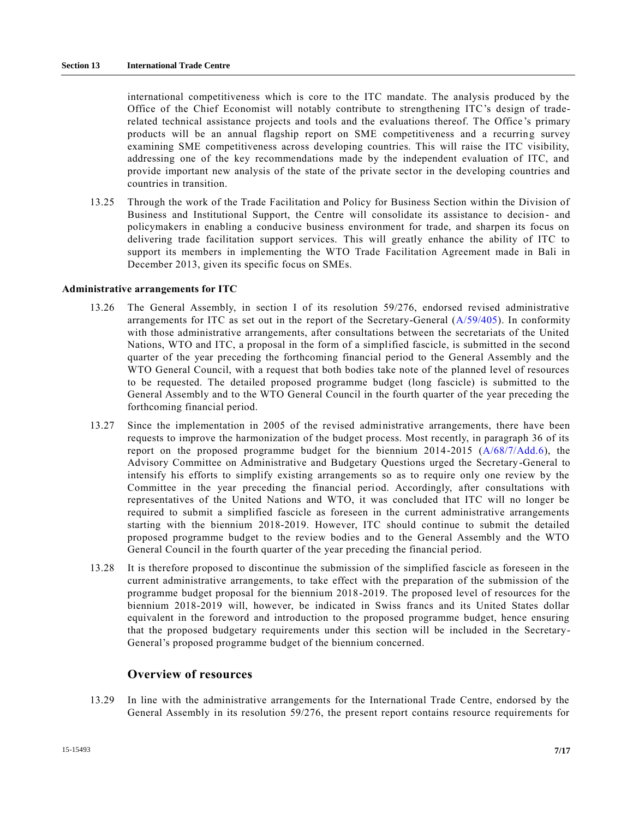international competitiveness which is core to the ITC mandate. The analysis produced by the Office of the Chief Economist will notably contribute to strengthening ITC's design of traderelated technical assistance projects and tools and the evaluations thereof. The Office 's primary products will be an annual flagship report on SME competitiveness and a recurring survey examining SME competitiveness across developing countries. This will raise the ITC visibility, addressing one of the key recommendations made by the independent evaluation of ITC, and provide important new analysis of the state of the private sector in the developing countries and countries in transition.

13.25 Through the work of the Trade Facilitation and Policy for Business Section within the Division of Business and Institutional Support, the Centre will consolidate its assistance to decision- and policymakers in enabling a conducive business environment for trade, and sharpen its focus on delivering trade facilitation support services. This will greatly enhance the ability of ITC to support its members in implementing the WTO Trade Facilitation Agreement made in Bali in December 2013, given its specific focus on SMEs.

#### **Administrative arrangements for ITC**

- 13.26 The General Assembly, in section I of its resolution 59/276, endorsed revised administrative arrangements for ITC as set out in the report of the Secretary-General [\(A/59/405\)](http://undocs.org/A/59/405). In conformity with those administrative arrangements, after consultations between the secretariats of the United Nations, WTO and ITC, a proposal in the form of a simplified fascicle, is submitted in the second quarter of the year preceding the forthcoming financial period to the General Assembly and the WTO General Council, with a request that both bodies take note of the planned level of resources to be requested. The detailed proposed programme budget (long fascicle) is submitted to the General Assembly and to the WTO General Council in the fourth quarter of the year preceding the forthcoming financial period.
- 13.27 Since the implementation in 2005 of the revised administrative arrangements, there have been requests to improve the harmonization of the budget process. Most recently, in paragraph 36 of its report on the proposed programme budget for the biennium 2014-2015 [\(A/68/7/Add.6\)](http://undocs.org/A/68/7/Add.6), the Advisory Committee on Administrative and Budgetary Questions urged the Secretary-General to intensify his efforts to simplify existing arrangements so as to require only one review by the Committee in the year preceding the financial period. Accordingly, after consultations with representatives of the United Nations and WTO, it was concluded that ITC will no longer be required to submit a simplified fascicle as foreseen in the current administrative arrangements starting with the biennium 2018-2019. However, ITC should continue to submit the detailed proposed programme budget to the review bodies and to the General Assembly and the WTO General Council in the fourth quarter of the year preceding the financial period.
- 13.28 It is therefore proposed to discontinue the submission of the simplified fascicle as foreseen in the current administrative arrangements, to take effect with the preparation of the submission of the programme budget proposal for the biennium 2018-2019. The proposed level of resources for the biennium 2018-2019 will, however, be indicated in Swiss francs and its United States dollar equivalent in the foreword and introduction to the proposed programme budget, hence ensuring that the proposed budgetary requirements under this section will be included in the Secretary-General's proposed programme budget of the biennium concerned.

#### **Overview of resources**

13.29 In line with the administrative arrangements for the International Trade Centre, endorsed by the General Assembly in its resolution 59/276, the present report contains resource requirements for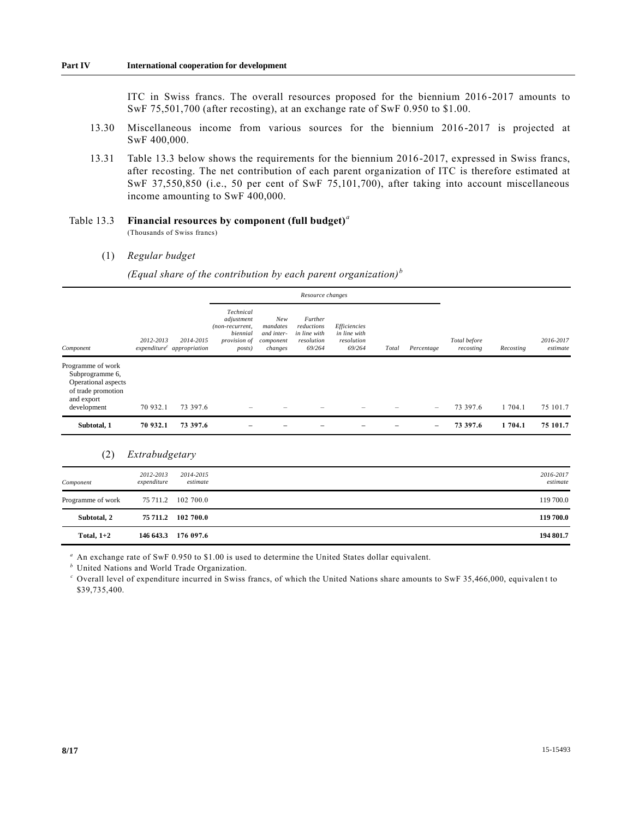ITC in Swiss francs. The overall resources proposed for the biennium 2016 -2017 amounts to SwF 75,501,700 (after recosting), at an exchange rate of SwF 0.950 to \$1.00.

- 13.30 Miscellaneous income from various sources for the biennium 2016-2017 is projected at SwF 400,000.
- 13.31 Table 13.3 below shows the requirements for the biennium 2016-2017, expressed in Swiss francs, after recosting. The net contribution of each parent organization of ITC is therefore estimated at SwF 37,550,850 (i.e., 50 per cent of SwF 75,101,700), after taking into account miscellaneous income amounting to SwF 400,000.

Table 13.3 **Financial resources by component (full budget)***<sup>a</sup>* (Thousands of Swiss francs)

(1) *Regular budget*

*(Equal share of the contribution by each parent organization) <sup>b</sup>*

|                                                                                                                |                                           |           |                                                                                  | Resource changes                                      |                                                               |                                                      |       |                   |                                        |                       |          |
|----------------------------------------------------------------------------------------------------------------|-------------------------------------------|-----------|----------------------------------------------------------------------------------|-------------------------------------------------------|---------------------------------------------------------------|------------------------------------------------------|-------|-------------------|----------------------------------------|-----------------------|----------|
| Component                                                                                                      | 2012-2013<br>$expenditurec$ appropriation | 2014-2015 | Technical<br>adjustment<br>(non-recurrent,<br>biennial<br>provision of<br>posts) | New<br>mandates<br>and inter-<br>component<br>changes | Further<br>reductions<br>in line with<br>resolution<br>69/264 | Efficiencies<br>in line with<br>resolution<br>69/264 | Total | Percentage        | Total before<br>Recosting<br>recosting | 2016-2017<br>estimate |          |
| Programme of work<br>Subprogramme 6,<br>Operational aspects<br>of trade promotion<br>and export<br>development | 70 932.1                                  | 73 397.6  |                                                                                  |                                                       |                                                               |                                                      |       | $\qquad \qquad =$ | 73 397.6                               | 1 704.1               | 75 101.7 |
| Subtotal, 1                                                                                                    | 70 932.1                                  | 73 397.6  |                                                                                  |                                                       |                                                               |                                                      |       | -                 | 73 397.6                               | 1 704.1               | 75 101.7 |

### (2) *Extrabudgetary*

| Component         | 2012-2013<br>expenditure | 2014-2015<br>estimate | 2016-2017<br>estimate |
|-------------------|--------------------------|-----------------------|-----------------------|
| Programme of work |                          | 75 711.2 102 700.0    | 119 700.0             |
| Subtotal, 2       |                          | 75 711.2 102 700.0    | 119 700.0             |
| Total, $1+2$      |                          | 146 643.3 176 097.6   | 194 801.7             |

*<sup>a</sup>* An exchange rate of SwF 0.950 to \$1.00 is used to determine the United States dollar equivalent.

*<sup>b</sup>* United Nations and World Trade Organization.

*<sup>c</sup>* Overall level of expenditure incurred in Swiss francs, of which the United Nations share amounts to SwF 35,466,000, equivalen t to \$39,735,400.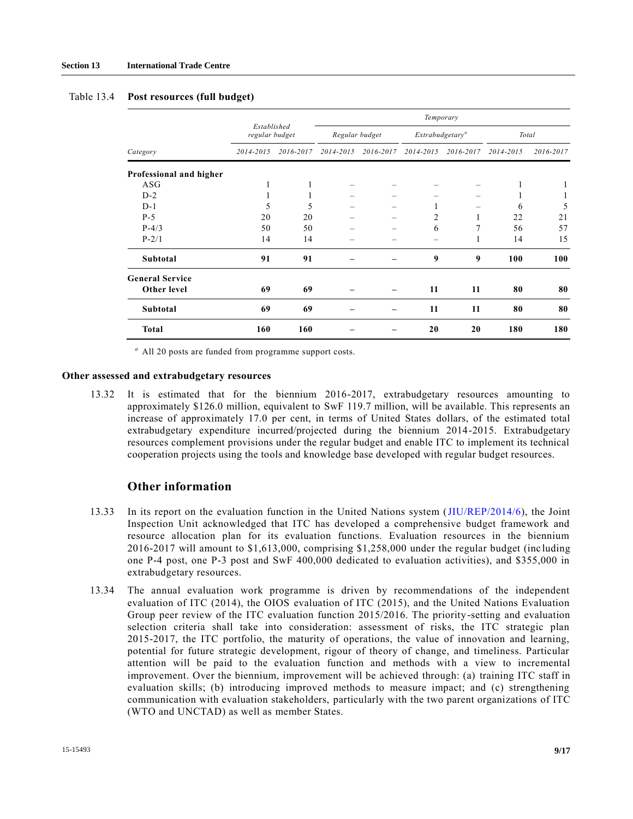|                         |                               |           | Temporary      |           |                |                            |           |           |  |
|-------------------------|-------------------------------|-----------|----------------|-----------|----------------|----------------------------|-----------|-----------|--|
|                         | Established<br>regular budget |           | Regular budget |           |                | Extrabudgetar <sup>y</sup> |           | Total     |  |
| Category                | 2014-2015                     | 2016-2017 | 2014-2015      | 2016-2017 | 2014-2015      | 2016-2017                  | 2014-2015 | 2016-2017 |  |
| Professional and higher |                               |           |                |           |                |                            |           |           |  |
| ASG                     | 1                             |           |                |           |                |                            | 1         |           |  |
| $D-2$                   |                               |           |                |           |                |                            |           |           |  |
| $D-1$                   | 5                             | 5         |                |           |                |                            | 6         | 5         |  |
| $P-5$                   | 20                            | 20        |                | -         | $\overline{c}$ |                            | 22        | 21        |  |
| $P-4/3$                 | 50                            | 50        |                |           | 6              | 7                          | 56        | 57        |  |
| $P - 2/1$               | 14                            | 14        |                |           |                |                            | 14        | 15        |  |
| Subtotal                | 91                            | 91        |                |           | 9              | 9                          | 100       | 100       |  |
| <b>General Service</b>  |                               |           |                |           |                |                            |           |           |  |
| Other level             | 69                            | 69        |                |           | 11             | 11                         | 80        | 80        |  |
| Subtotal                | 69                            | 69        |                |           | 11             | 11                         | 80        | 80        |  |
| <b>Total</b>            | 160                           | 160       |                |           | 20             | 20                         | 180       | 180       |  |

#### Table 13.4 **Post resources (full budget)**

*<sup>a</sup>* All 20 posts are funded from programme support costs.

#### **Other assessed and extrabudgetary resources**

13.32 It is estimated that for the biennium 2016-2017, extrabudgetary resources amounting to approximately \$126.0 million, equivalent to SwF 119.7 million, will be available. This represents an increase of approximately 17.0 per cent, in terms of United States dollars, of the estimated total extrabudgetary expenditure incurred/projected during the biennium 2014-2015. Extrabudgetary resources complement provisions under the regular budget and enable ITC to implement its technical cooperation projects using the tools and knowledge base developed with regular budget resources.

### **Other information**

- 13.33 In its report on the evaluation function in the United Nations system [\(JIU/REP/2014/6\)](http://undocs.org/JIU/REP/2014/6), the Joint Inspection Unit acknowledged that ITC has developed a comprehensive budget framework and resource allocation plan for its evaluation functions. Evaluation resources in the biennium 2016-2017 will amount to \$1,613,000, comprising \$1,258,000 under the regular budget (inc luding one P-4 post, one P-3 post and SwF 400,000 dedicated to evaluation activities), and \$355,000 in extrabudgetary resources.
- 13.34 The annual evaluation work programme is driven by recommendations of the independent evaluation of ITC (2014), the OIOS evaluation of ITC (2015), and the United Nations Evaluation Group peer review of the ITC evaluation function 2015/2016. The priority-setting and evaluation selection criteria shall take into consideration: assessment of risks, the ITC strategic plan 2015-2017, the ITC portfolio, the maturity of operations, the value of innovation and learning, potential for future strategic development, rigour of theory of change, and timeliness. Particular attention will be paid to the evaluation function and methods with a view to incremental improvement. Over the biennium, improvement will be achieved through: (a) training ITC staff in evaluation skills; (b) introducing improved methods to measure impact; and (c) strengthening communication with evaluation stakeholders, particularly with the two parent organizations of ITC (WTO and UNCTAD) as well as member States.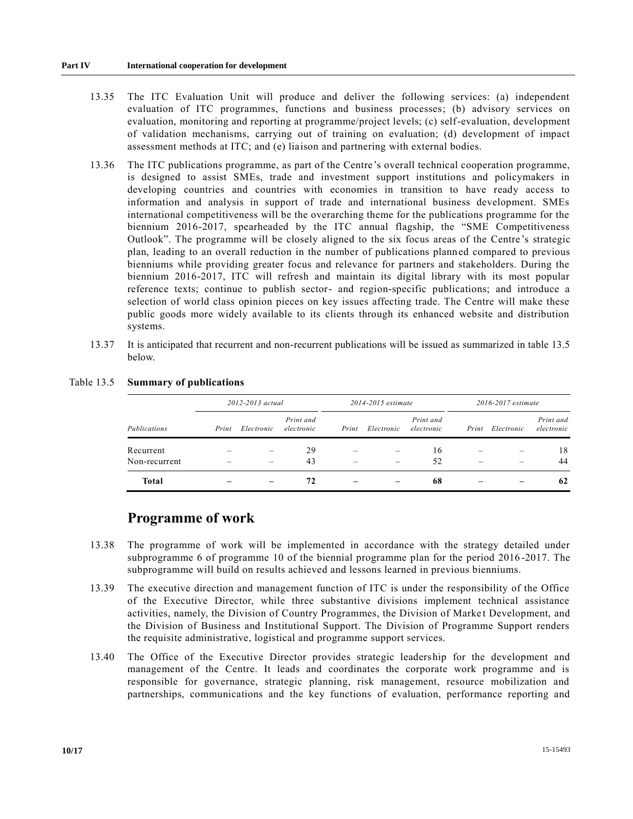- 13.35 The ITC Evaluation Unit will produce and deliver the following services: (a) independent evaluation of ITC programmes, functions and business processes; (b) advisory services on evaluation, monitoring and reporting at programme/project levels; (c) self-evaluation, development of validation mechanisms, carrying out of training on evaluation; (d) development of impact assessment methods at ITC; and (e) liaison and partnering with external bodies.
- 13.36 The ITC publications programme, as part of the Centre's overall technical cooperation programme, is designed to assist SMEs, trade and investment support institutions and policymakers in developing countries and countries with economies in transition to have ready access to information and analysis in support of trade and international business development. SMEs international competitiveness will be the overarching theme for the publications programme for the biennium 2016-2017, spearheaded by the ITC annual flagship, the "SME Competitiveness Outlook". The programme will be closely aligned to the six focus areas of the Centre 's strategic plan, leading to an overall reduction in the number of publications planned compared to previous bienniums while providing greater focus and relevance for partners and stakeholders. During the biennium 2016-2017, ITC will refresh and maintain its digital library with its most popular reference texts; continue to publish sector- and region-specific publications; and introduce a selection of world class opinion pieces on key issues affecting trade. The Centre will make these public goods more widely available to its clients through its enhanced website and distribution systems.
- 13.37 It is anticipated that recurrent and non-recurrent publications will be issued as summarized in table 13.5 below.

|               | 2012-2013 actual |            |                         | 2014-2015 estimate |            |                         | 2016-2017 estimate |            |                         |
|---------------|------------------|------------|-------------------------|--------------------|------------|-------------------------|--------------------|------------|-------------------------|
| Publications  | Print            | Electronic | Print and<br>electronic | Print              | Electronic | Print and<br>electronic | Print              | Electronic | Print and<br>electronic |
| Recurrent     |                  |            | 29                      |                    |            | 16                      |                    |            | 18                      |
| Non-recurrent |                  |            | 43                      |                    |            | 52                      |                    |            | 44                      |
| <b>Total</b>  |                  |            | 72                      |                    |            | 68                      |                    |            | 62                      |

### Table 13.5 **Summary of publications**

### **Programme of work**

- 13.38 The programme of work will be implemented in accordance with the strategy detailed under subprogramme 6 of programme 10 of the biennial programme plan for the period 2016 -2017. The subprogramme will build on results achieved and lessons learned in previous bienniums.
- 13.39 The executive direction and management function of ITC is under the responsibility of the Office of the Executive Director, while three substantive divisions implement technical assistance activities, namely, the Division of Country Programmes, the Division of Market Development, and the Division of Business and Institutional Support. The Division of Programme Support renders the requisite administrative, logistical and programme support services.
- 13.40 The Office of the Executive Director provides strategic leadership for the development and management of the Centre. It leads and coordinates the corporate work programme and is responsible for governance, strategic planning, risk management, resource mobilization and partnerships, communications and the key functions of evaluation, performance reporting and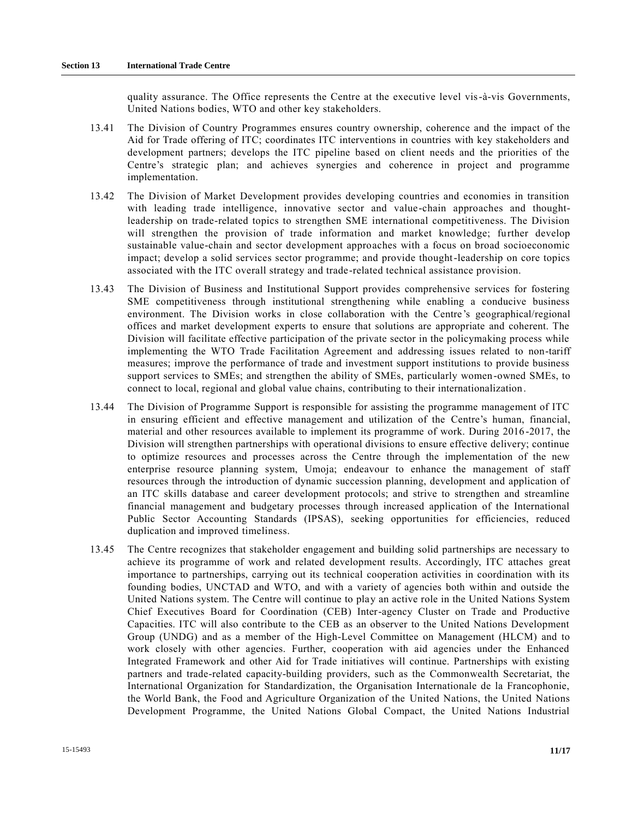quality assurance. The Office represents the Centre at the executive level vis-à-vis Governments, United Nations bodies, WTO and other key stakeholders.

- 13.41 The Division of Country Programmes ensures country ownership, coherence and the impact of the Aid for Trade offering of ITC; coordinates ITC interventions in countries with key stakeholders and development partners; develops the ITC pipeline based on client needs and the priorities of the Centre's strategic plan; and achieves synergies and coherence in project and programme implementation.
- 13.42 The Division of Market Development provides developing countries and economies in transition with leading trade intelligence, innovative sector and value-chain approaches and thoughtleadership on trade-related topics to strengthen SME international competitiveness. The Division will strengthen the provision of trade information and market knowledge; further develop sustainable value-chain and sector development approaches with a focus on broad socioeconomic impact; develop a solid services sector programme; and provide thought-leadership on core topics associated with the ITC overall strategy and trade-related technical assistance provision.
- 13.43 The Division of Business and Institutional Support provides comprehensive services for fostering SME competitiveness through institutional strengthening while enabling a conducive business environment. The Division works in close collaboration with the Centre's geographical/regional offices and market development experts to ensure that solutions are appropriate and coherent. The Division will facilitate effective participation of the private sector in the policymaking process while implementing the WTO Trade Facilitation Agreement and addressing issues related to non-tariff measures; improve the performance of trade and investment support institutions to provide business support services to SMEs; and strengthen the ability of SMEs, particularly women-owned SMEs, to connect to local, regional and global value chains, contributing to their internationalization.
- 13.44 The Division of Programme Support is responsible for assisting the programme management of ITC in ensuring efficient and effective management and utilization of the Centre's human, financial, material and other resources available to implement its programme of work. During 2016 -2017, the Division will strengthen partnerships with operational divisions to ensure effective delivery; continue to optimize resources and processes across the Centre through the implementation of the new enterprise resource planning system, Umoja; endeavour to enhance the management of staff resources through the introduction of dynamic succession planning, development and application of an ITC skills database and career development protocols; and strive to strengthen and streamline financial management and budgetary processes through increased application of the International Public Sector Accounting Standards (IPSAS), seeking opportunities for efficiencies, reduced duplication and improved timeliness.
- 13.45 The Centre recognizes that stakeholder engagement and building solid partnerships are necessary to achieve its programme of work and related development results. Accordingly, ITC attaches great importance to partnerships, carrying out its technical cooperation activities in coordination with its founding bodies, UNCTAD and WTO, and with a variety of agencies both within and outside the United Nations system. The Centre will continue to play an active role in the United Nations System Chief Executives Board for Coordination (CEB) Inter-agency Cluster on Trade and Productive Capacities. ITC will also contribute to the CEB as an observer to the United Nations Development Group (UNDG) and as a member of the High-Level Committee on Management (HLCM) and to work closely with other agencies. Further, cooperation with aid agencies under the Enhanced Integrated Framework and other Aid for Trade initiatives will continue. Partnerships with existing partners and trade-related capacity-building providers, such as the Commonwealth Secretariat, the International Organization for Standardization, the Organisation Internationale de la Francophonie, the World Bank, the Food and Agriculture Organization of the United Nations, the United Nations Development Programme, the United Nations Global Compact, the United Nations Industrial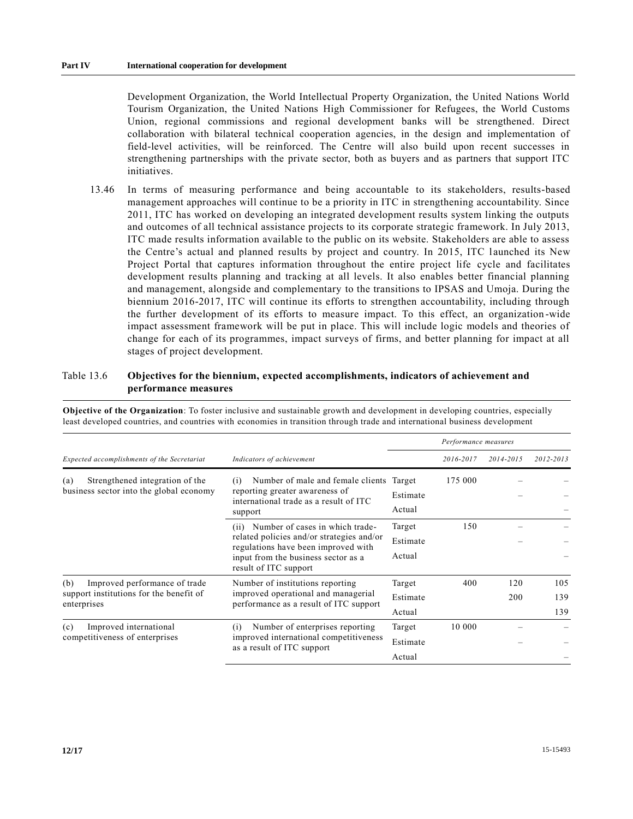Development Organization, the World Intellectual Property Organization, the United Nations World Tourism Organization, the United Nations High Commissioner for Refugees, the World Customs Union, regional commissions and regional development banks will be strengthened. Direct collaboration with bilateral technical cooperation agencies, in the design and implementation of field-level activities, will be reinforced. The Centre will also build upon recent successes in strengthening partnerships with the private sector, both as buyers and as partners that support ITC initiatives.

13.46 In terms of measuring performance and being accountable to its stakeholders, results-based management approaches will continue to be a priority in ITC in strengthening accountability. Since 2011, ITC has worked on developing an integrated development results system linking the outputs and outcomes of all technical assistance projects to its corporate strategic framework. In July 2013, ITC made results information available to the public on its website. Stakeholders are able to assess the Centre's actual and planned results by project and country. In 2015, ITC launched its New Project Portal that captures information throughout the entire project life cycle and facilitates development results planning and tracking at all levels. It also enables better financial planning and management, alongside and complementary to the transitions to IPSAS and Umoja. During the biennium 2016-2017, ITC will continue its efforts to strengthen accountability, including through the further development of its efforts to measure impact. To this effect, an organization -wide impact assessment framework will be put in place. This will include logic models and theories of change for each of its programmes, impact surveys of firms, and better planning for impact at all stages of project development.

### Table 13.6 **Objectives for the biennium, expected accomplishments, indicators of achievement and performance measures**

|                                                                                                |                                                                                                                                                                                          |                              | Performance measures |            |                   |
|------------------------------------------------------------------------------------------------|------------------------------------------------------------------------------------------------------------------------------------------------------------------------------------------|------------------------------|----------------------|------------|-------------------|
| Expected accomplishments of the Secretariat                                                    | Indicators of achievement                                                                                                                                                                |                              | 2016-2017            | 2014-2015  | 2012-2013         |
| Strengthened integration of the<br>(a)<br>business sector into the global economy              | Number of male and female clients Target<br>(i)<br>reporting greater awareness of<br>international trade as a result of ITC<br>support                                                   | Estimate<br>Actual           | 175 000              |            |                   |
|                                                                                                | (ii) Number of cases in which trade-<br>related policies and/or strategies and/or<br>regulations have been improved with<br>input from the business sector as a<br>result of ITC support | Target<br>Estimate<br>Actual | 150                  |            |                   |
| (b)<br>Improved performance of trade<br>support institutions for the benefit of<br>enterprises | Number of institutions reporting<br>improved operational and managerial<br>performance as a result of ITC support                                                                        | Target<br>Estimate<br>Actual | 400                  | 120<br>200 | 105<br>139<br>139 |
| Improved international<br>(c)<br>competitiveness of enterprises                                | Number of enterprises reporting<br>(i)<br>improved international competitiveness<br>as a result of ITC support                                                                           | Target<br>Estimate<br>Actual | 10 000               |            |                   |

**Objective of the Organization**: To foster inclusive and sustainable growth and development in developing countries, especially least developed countries, and countries with economies in transition through trade and international business development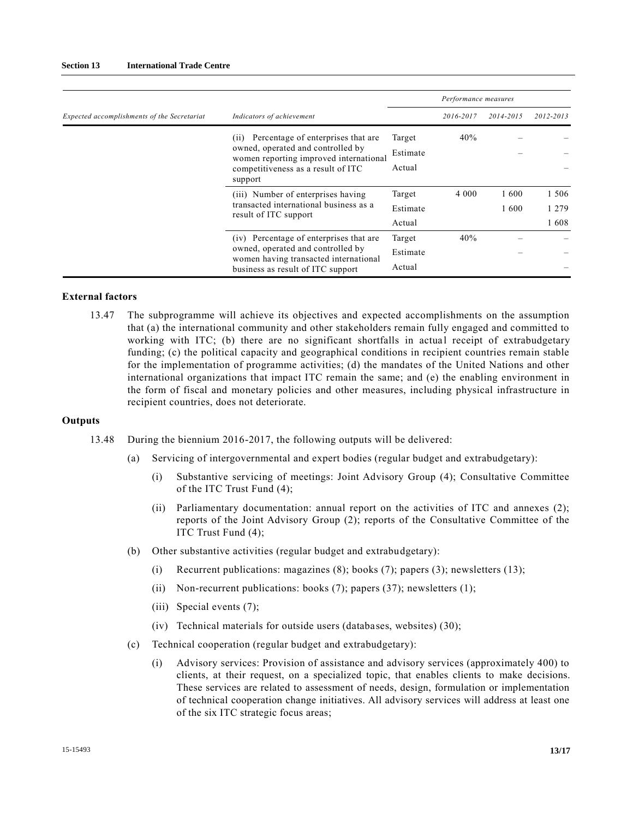|                                             |                                                                                                                                                                            |                              | Performance measures |              |                          |
|---------------------------------------------|----------------------------------------------------------------------------------------------------------------------------------------------------------------------------|------------------------------|----------------------|--------------|--------------------------|
| Expected accomplishments of the Secretariat | Indicators of achievement                                                                                                                                                  |                              | 2016-2017            | 2014-2015    | 2012-2013                |
|                                             | Percentage of enterprises that are<br>(11)<br>owned, operated and controlled by<br>women reporting improved international<br>competitiveness as a result of ITC<br>support | Target<br>Estimate<br>Actual | 40%                  |              |                          |
|                                             | (iii) Number of enterprises having<br>transacted international business as a<br>result of ITC support                                                                      | Target<br>Estimate<br>Actual | 4 0 0 0              | 1600<br>1600 | 1 506<br>1 2 7 9<br>1608 |
|                                             | (iv) Percentage of enterprises that are<br>owned, operated and controlled by<br>women having transacted international<br>business as result of ITC support                 | Target<br>Estimate<br>Actual | 40%                  |              |                          |

#### **External factors**

13.47 The subprogramme will achieve its objectives and expected accomplishments on the assumption that (a) the international community and other stakeholders remain fully engaged and committed to working with ITC; (b) there are no significant shortfalls in actual receipt of extrabudgetary funding; (c) the political capacity and geographical conditions in recipient countries remain stable for the implementation of programme activities; (d) the mandates of the United Nations and other international organizations that impact ITC remain the same; and (e) the enabling environment in the form of fiscal and monetary policies and other measures, including physical infrastructure in recipient countries, does not deteriorate.

#### **Outputs**

- 13.48 During the biennium 2016-2017, the following outputs will be delivered:
	- (a) Servicing of intergovernmental and expert bodies (regular budget and extrabudgetary):
		- (i) Substantive servicing of meetings: Joint Advisory Group (4); Consultative Committee of the ITC Trust Fund (4);
		- (ii) Parliamentary documentation: annual report on the activities of ITC and annexes (2); reports of the Joint Advisory Group (2); reports of the Consultative Committee of the ITC Trust Fund (4);
	- (b) Other substantive activities (regular budget and extrabudgetary):
		- (i) Recurrent publications: magazines  $(8)$ ; books  $(7)$ ; papers  $(3)$ ; newsletters  $(13)$ ;
		- (ii) Non-recurrent publications: books  $(7)$ ; papers  $(37)$ ; newsletters  $(1)$ ;
		- (iii) Special events (7);
		- (iv) Technical materials for outside users (databases, websites) (30);
	- (c) Technical cooperation (regular budget and extrabudgetary):
		- (i) Advisory services: Provision of assistance and advisory services (approximately 400) to clients, at their request, on a specialized topic, that enables clients to make decisions. These services are related to assessment of needs, design, formulation or implementation of technical cooperation change initiatives. All advisory services will address at least one of the six ITC strategic focus areas;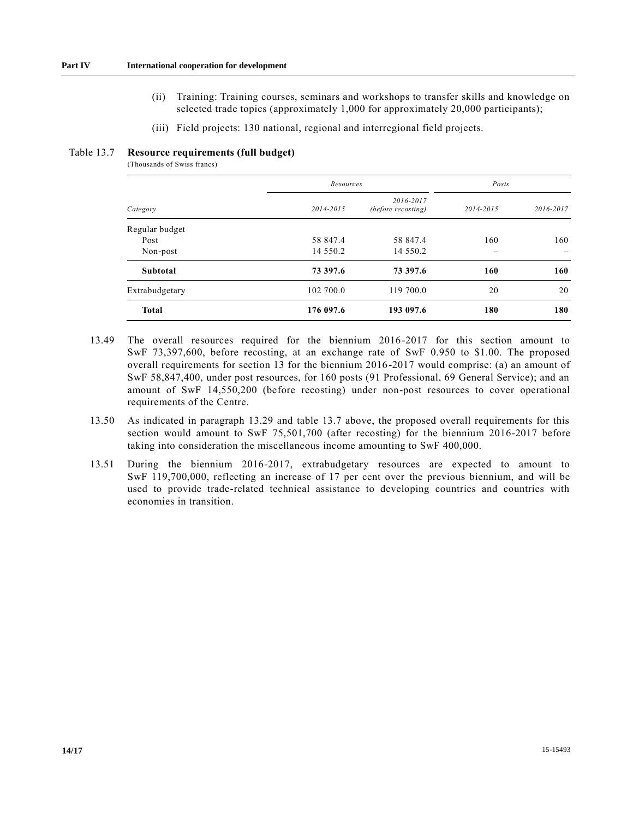- (ii) Training: Training courses, seminars and workshops to transfer skills and knowledge on selected trade topics (approximately 1,000 for approximately 20,000 participants);
- (iii) Field projects: 130 national, regional and interregional field projects.

#### Table 13.7 **Resource requirements (full budget)**

(Thousands of Swiss francs)

|                | Resources    |                                 | Posts     |           |  |
|----------------|--------------|---------------------------------|-----------|-----------|--|
| Category       | 2014-2015    | 2016-2017<br>(before recosting) | 2014-2015 | 2016-2017 |  |
| Regular budget |              |                                 |           |           |  |
| Post           | 58 847.4     | 58 847.4                        | 160       | 160       |  |
| Non-post       | 14 5 5 0 . 2 | 14 5 5 0 . 2                    |           |           |  |
| Subtotal       | 73 397.6     | 73 397.6                        | 160       | 160       |  |
| Extrabudgetary | 102 700.0    | 119 700.0                       | 20        | 20        |  |
| <b>Total</b>   | 176 097.6    | 193 097.6                       | 180       | 180       |  |

- 13.49 The overall resources required for the biennium 2016-2017 for this section amount to SwF 73,397,600, before recosting, at an exchange rate of SwF 0.950 to \$1.00. The proposed overall requirements for section 13 for the biennium 2016-2017 would comprise: (a) an amount of SwF 58,847,400, under post resources, for 160 posts (91 Professional, 69 General Service); and an amount of SwF 14,550,200 (before recosting) under non-post resources to cover operational requirements of the Centre.
- 13.50 As indicated in paragraph 13.29 and table 13.7 above, the proposed overall requirements for this section would amount to SwF 75,501,700 (after recosting) for the biennium 2016-2017 before taking into consideration the miscellaneous income amounting to SwF 400,000.
- 13.51 During the biennium 2016-2017, extrabudgetary resources are expected to amount to SwF 119,700,000, reflecting an increase of 17 per cent over the previous biennium, and will be used to provide trade-related technical assistance to developing countries and countries with economies in transition.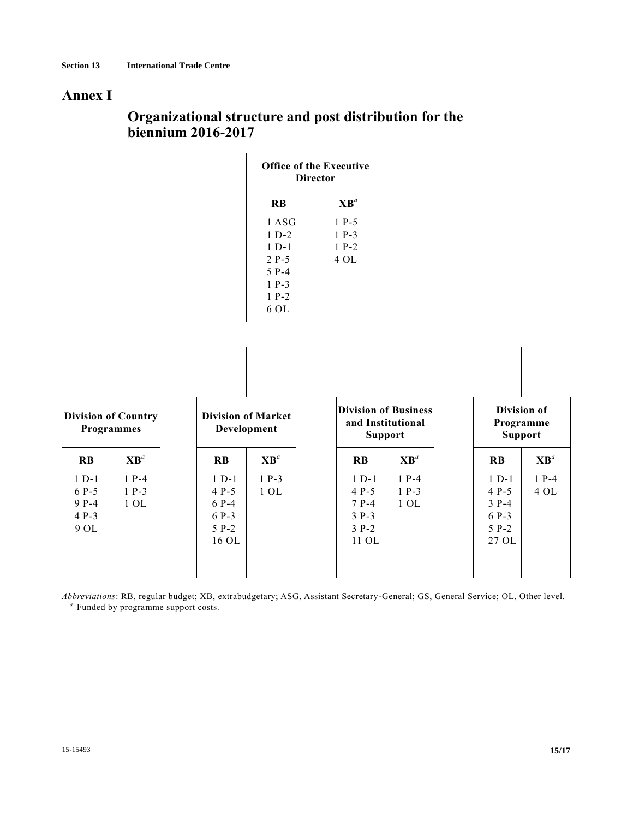# **Annex I**

# **Organizational structure and post distribution for the biennium 2016-2017**

|                                            |                                                 |                                                          |                                                                                       | <b>Office of the Executive</b><br><b>Director</b>           |                                                                    |                                                            |                          |
|--------------------------------------------|-------------------------------------------------|----------------------------------------------------------|---------------------------------------------------------------------------------------|-------------------------------------------------------------|--------------------------------------------------------------------|------------------------------------------------------------|--------------------------|
|                                            |                                                 |                                                          | $\mathbf{R}$ <b>B</b>                                                                 | $\mathbf{X}\mathbf{B}^a$                                    |                                                                    |                                                            |                          |
|                                            |                                                 |                                                          | 1 ASG<br>$1 D-2$<br>$1 D-1$<br>$2 P-5$<br>$5P-4$<br>$1 P-3$<br>$1 P-2$<br>$6$ OL $\,$ | $1 P-5$<br>$1 P-3$<br>$1 P-2$<br>4 OL                       |                                                                    |                                                            |                          |
|                                            | <b>Division of Country</b><br><b>Programmes</b> | <b>Division of Market</b><br>Development                 |                                                                                       |                                                             | <b>Division of Business</b><br>and Institutional<br><b>Support</b> | <b>Division of</b><br>Programme<br><b>Support</b>          |                          |
| $\mathbf{R}$                               | $\mathbf{X}\mathbf{B}^a$                        | $\mathbf{R}$                                             | $\mathbf{X}\mathbf{B}^a$                                                              | $\mathbf{R}$                                                | $\mathbf{X}\mathbf{B}^a$                                           | $\mathbf{R}$                                               | $\mathbf{X}\mathbf{B}^a$ |
| $1 D-1$<br>6 P-5<br>9 P-4<br>4 P-3<br>9 OL | $1 P-4$<br>$1 P-3$<br>$1$ OL $\,$               | $1 D-1$<br>$4P-5$<br>$6P-4$<br>6 P-3<br>$5 P-2$<br>16 OL | $1 P-3$<br>$1$ OL $\,$                                                                | $1 D-1$<br>$4 P-5$<br>$7P-4$<br>$3 P-3$<br>$3 P-2$<br>11 OL | $1 P-4$<br>$1 P-3$<br>$1$ OL $\,$                                  | $1 D-1$<br>$4 P-5$<br>$3 P-4$<br>6 P-3<br>$5 P-2$<br>27 OL | $1 P-4$<br>4 OL          |

*Abbreviations*: RB, regular budget; XB, extrabudgetary; ASG, Assistant Secretary-General; GS, General Service; OL, Other level. *a* Funded by programme support costs.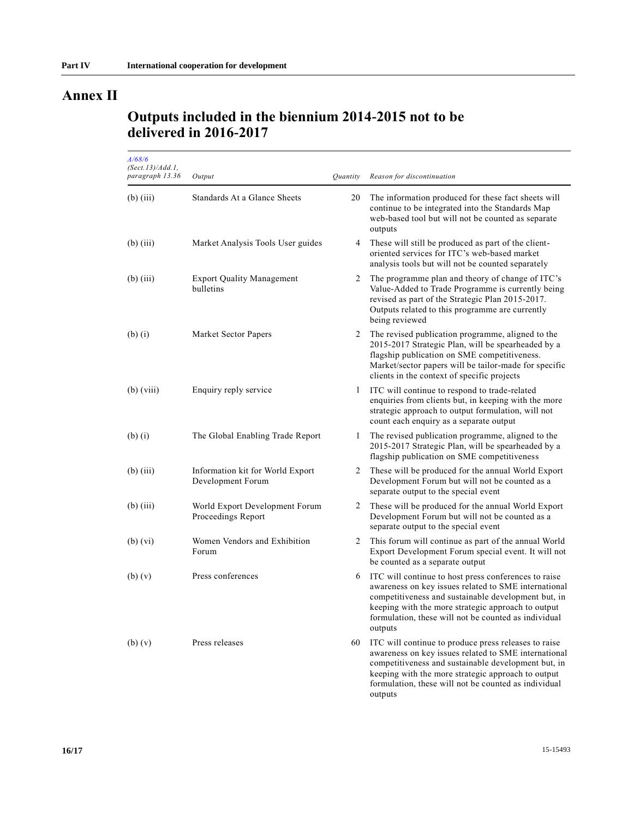# **Annex II**

### **Outputs included in the biennium 2014-2015 not to be delivered in 2016-2017**

| A/68/6<br>(Sect. 13)/Add. 1,<br>paragraph 13.36 | Output                                                | <i><u><b>Ouantity</b></u></i> | Reason for discontinuation                                                                                                                                                                                                                                                                   |
|-------------------------------------------------|-------------------------------------------------------|-------------------------------|----------------------------------------------------------------------------------------------------------------------------------------------------------------------------------------------------------------------------------------------------------------------------------------------|
| $(b)$ (iii)                                     | Standards At a Glance Sheets                          | 20                            | The information produced for these fact sheets will<br>continue to be integrated into the Standards Map<br>web-based tool but will not be counted as separate<br>outputs                                                                                                                     |
| $(b)$ (iii)                                     | Market Analysis Tools User guides                     | 4                             | These will still be produced as part of the client-<br>oriented services for ITC's web-based market<br>analysis tools but will not be counted separately                                                                                                                                     |
| $(b)$ (iii)                                     | <b>Export Quality Management</b><br>bulletins         | 2                             | The programme plan and theory of change of ITC's<br>Value-Added to Trade Programme is currently being<br>revised as part of the Strategic Plan 2015-2017.<br>Outputs related to this programme are currently<br>being reviewed                                                               |
| $(b)$ $(i)$                                     | Market Sector Papers                                  | 2                             | The revised publication programme, aligned to the<br>2015-2017 Strategic Plan, will be spearheaded by a<br>flagship publication on SME competitiveness.<br>Market/sector papers will be tailor-made for specific<br>clients in the context of specific projects                              |
| $(b)$ (viii)                                    | Enquiry reply service                                 | 1                             | ITC will continue to respond to trade-related<br>enquiries from clients but, in keeping with the more<br>strategic approach to output formulation, will not<br>count each enquiry as a separate output                                                                                       |
| $(b)$ $(i)$                                     | The Global Enabling Trade Report                      | 1                             | The revised publication programme, aligned to the<br>2015-2017 Strategic Plan, will be spearheaded by a<br>flagship publication on SME competitiveness                                                                                                                                       |
| $(b)$ (iii)                                     | Information kit for World Export<br>Development Forum | 2                             | These will be produced for the annual World Export<br>Development Forum but will not be counted as a<br>separate output to the special event                                                                                                                                                 |
| $(b)$ (iii)                                     | World Export Development Forum<br>Proceedings Report  | 2                             | These will be produced for the annual World Export<br>Development Forum but will not be counted as a<br>separate output to the special event                                                                                                                                                 |
| $(b)$ $(vi)$                                    | Women Vendors and Exhibition<br>Forum                 | 2                             | This forum will continue as part of the annual World<br>Export Development Forum special event. It will not<br>be counted as a separate output                                                                                                                                               |
| $(b)$ $(v)$                                     | Press conferences                                     | 6                             | ITC will continue to host press conferences to raise<br>awareness on key issues related to SME international<br>competitiveness and sustainable development but, in<br>keeping with the more strategic approach to output<br>formulation, these will not be counted as individual<br>outputs |
| $(b)$ $(v)$                                     | Press releases                                        | 60                            | ITC will continue to produce press releases to raise<br>awareness on key issues related to SME international<br>competitiveness and sustainable development but, in<br>keeping with the more strategic approach to output<br>formulation, these will not be counted as individual<br>outputs |